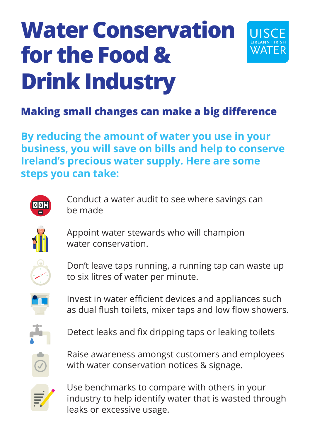# **Water Conservation for the Food & Drink Industry**



## **Making small changes can make a big difference**

**By reducing the amount of water you use in your business, you will save on bills and help to conserve Ireland's precious water supply. Here are some steps you can take:**

Conduct a water audit to see where savings can be made



Appoint water stewards who will champion water conservation.



Don't leave taps running, a running tap can waste up to six litres of water per minute.



Invest in water efficient devices and appliances such as dual flush toilets, mixer taps and low flow showers.



Detect leaks and fix dripping taps or leaking toilets



Raise awareness amongst customers and employees with water conservation notices & signage.



Use benchmarks to compare with others in your industry to help identify water that is wasted through leaks or excessive usage.